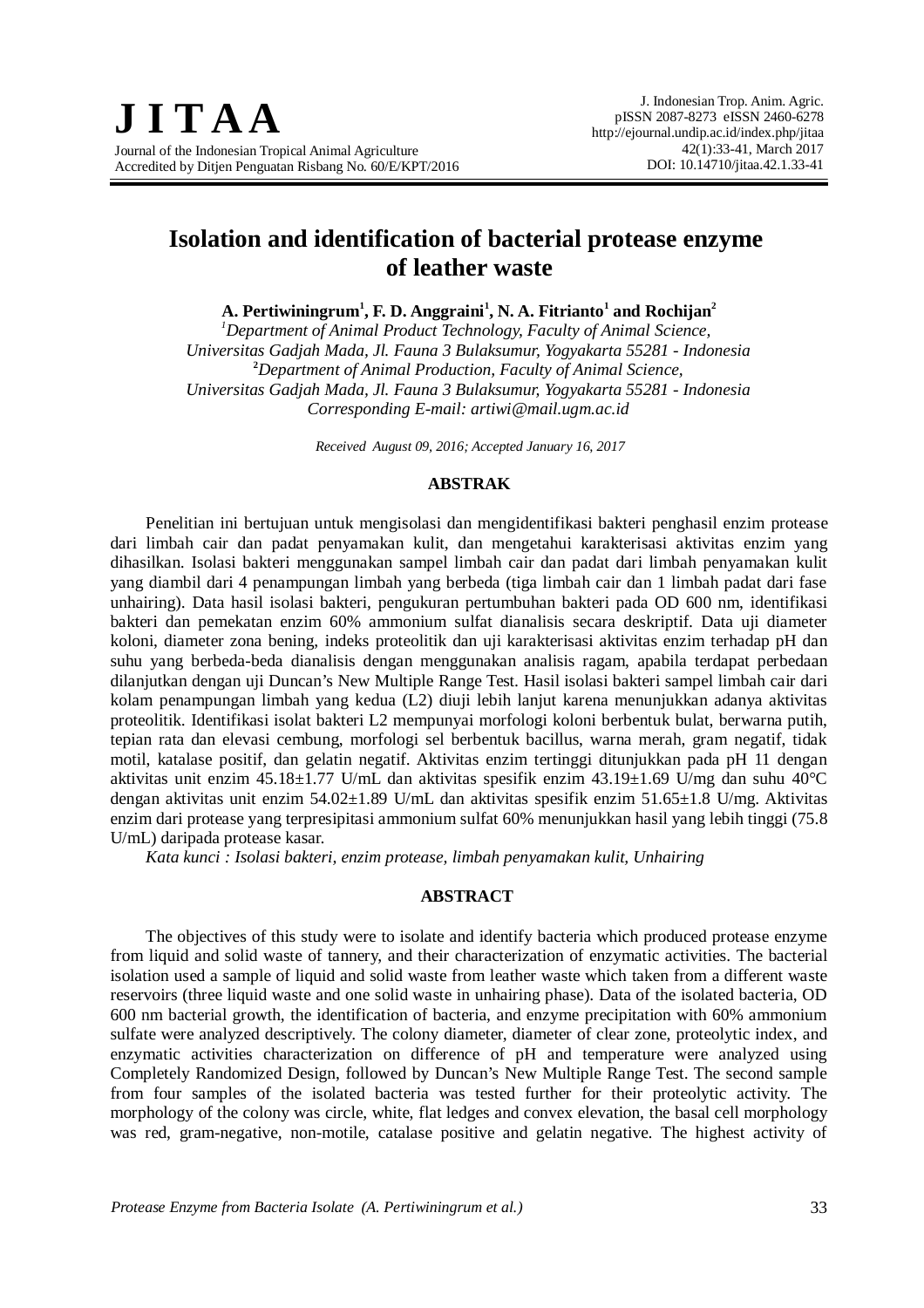# **Isolation and identification of bacterial protease enzyme of leather waste**

**A. Pertiwiningrum<sup>1</sup> , F. D. Anggraini<sup>1</sup> , N. A. Fitrianto<sup>1</sup> and Rochijan<sup>2</sup>**

*<sup>1</sup>Department of Animal Product Technology, Faculty of Animal Science, Universitas Gadjah Mada, Jl. Fauna 3 Bulaksumur, Yogyakarta 55281 - Indonesia* **<sup>2</sup>***Department of Animal Production, Faculty of Animal Science, Universitas Gadjah Mada, Jl. Fauna 3 Bulaksumur, Yogyakarta 55281 - Indonesia Corresponding E-mail: artiwi@mail.ugm.ac.id*

*Received August 09, 2016; Accepted January 16, 2017*

### **ABSTRAK**

Penelitian ini bertujuan untuk mengisolasi dan mengidentifikasi bakteri penghasil enzim protease dari limbah cair dan padat penyamakan kulit, dan mengetahui karakterisasi aktivitas enzim yang dihasilkan. Isolasi bakteri menggunakan sampel limbah cair dan padat dari limbah penyamakan kulit yang diambil dari 4 penampungan limbah yang berbeda (tiga limbah cair dan 1 limbah padat dari fase unhairing). Data hasil isolasi bakteri, pengukuran pertumbuhan bakteri pada OD 600 nm, identifikasi bakteri dan pemekatan enzim 60% ammonium sulfat dianalisis secara deskriptif. Data uji diameter koloni, diameter zona bening, indeks proteolitik dan uji karakterisasi aktivitas enzim terhadap pH dan suhu yang berbeda-beda dianalisis dengan menggunakan analisis ragam, apabila terdapat perbedaan dilanjutkan dengan uji Duncan's New Multiple Range Test. Hasil isolasi bakteri sampel limbah cair dari kolam penampungan limbah yang kedua (L2) diuji lebih lanjut karena menunjukkan adanya aktivitas proteolitik. Identifikasi isolat bakteri L2 mempunyai morfologi koloni berbentuk bulat, berwarna putih, tepian rata dan elevasi cembung, morfologi sel berbentuk bacillus, warna merah, gram negatif, tidak motil, katalase positif, dan gelatin negatif. Aktivitas enzim tertinggi ditunjukkan pada pH 11 dengan aktivitas unit enzim 45.18±1.77 U/mL dan aktivitas spesifik enzim 43.19±1.69 U/mg dan suhu 40°C dengan aktivitas unit enzim 54.02±1.89 U/mL dan aktivitas spesifik enzim 51.65±1.8 U/mg. Aktivitas enzim dari protease yang terpresipitasi ammonium sulfat 60% menunjukkan hasil yang lebih tinggi (75.8 U/mL) daripada protease kasar.

*Kata kunci : Isolasi bakteri, enzim protease, limbah penyamakan kulit, Unhairing*

# **ABSTRACT**

The objectives of this study were to isolate and identify bacteria which produced protease enzyme from liquid and solid waste of tannery, and their characterization of enzymatic activities. The bacterial isolation used a sample of liquid and solid waste from leather waste which taken from a different waste reservoirs (three liquid waste and one solid waste in unhairing phase). Data of the isolated bacteria, OD 600 nm bacterial growth, the identification of bacteria, and enzyme precipitation with 60% ammonium sulfate were analyzed descriptively. The colony diameter, diameter of clear zone, proteolytic index, and enzymatic activities characterization on difference of pH and temperature were analyzed using Completely Randomized Design, followed by Duncan's New Multiple Range Test. The second sample from four samples of the isolated bacteria was tested further for their proteolytic activity. The morphology of the colony was circle, white, flat ledges and convex elevation, the basal cell morphology was red, gram-negative, non-motile, catalase positive and gelatin negative. The highest activity of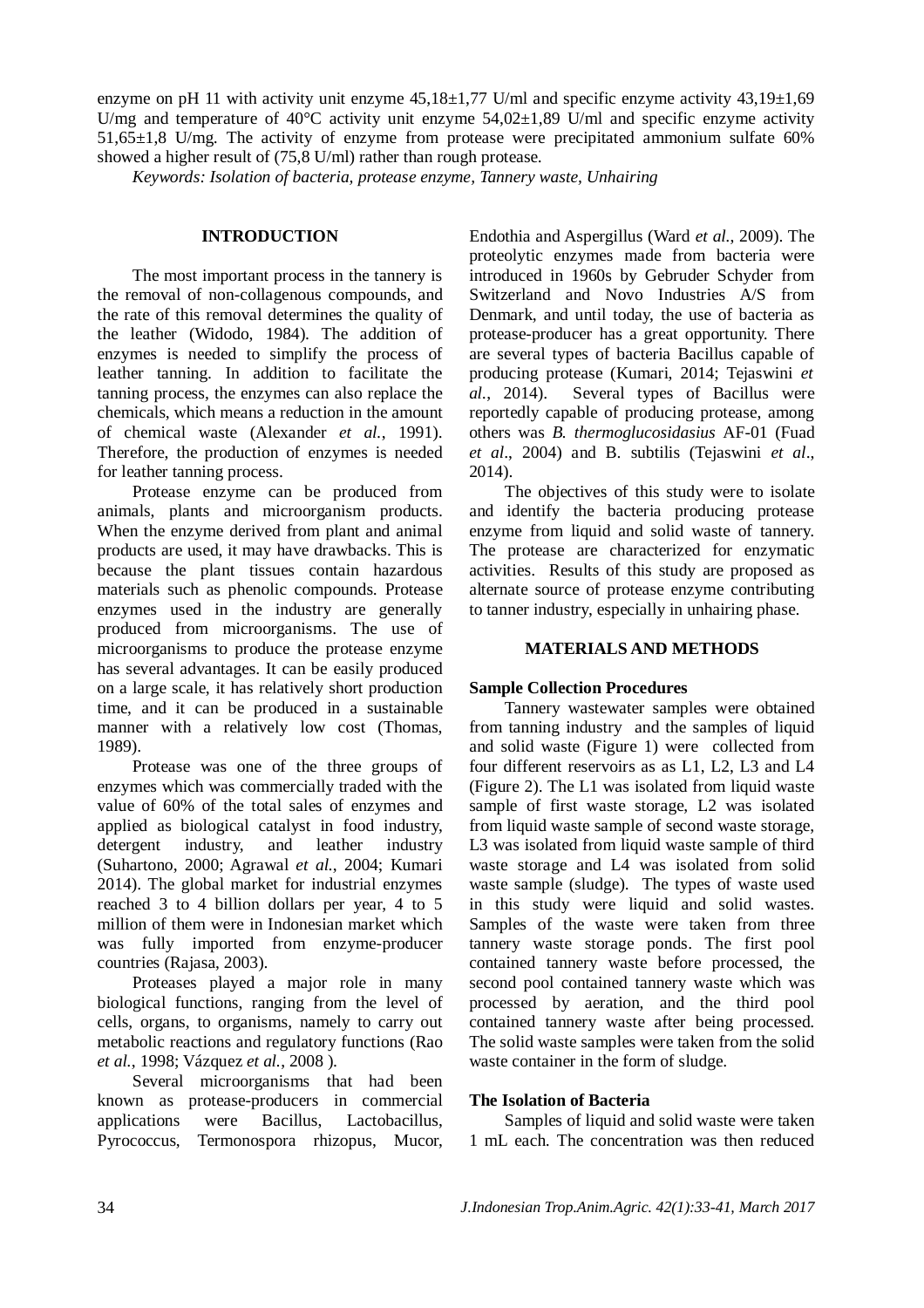enzyme on pH 11 with activity unit enzyme  $45.18\pm1.77$  U/ml and specific enzyme activity  $43.19\pm1.69$ U/mg and temperature of 40 $\degree$ C activity unit enzyme 54,02 $\pm$ 1,89 U/ml and specific enzyme activity 51,65±1,8 U/mg. The activity of enzyme from protease were precipitated ammonium sulfate 60% showed a higher result of (75,8 U/ml) rather than rough protease.

*Keywords: Isolation of bacteria, protease enzyme, Tannery waste, Unhairing*

# **INTRODUCTION**

The most important process in the tannery is the removal of non-collagenous compounds, and the rate of this removal determines the quality of the leather (Widodo, 1984). The addition of enzymes is needed to simplify the process of leather tanning. In addition to facilitate the tanning process, the enzymes can also replace the chemicals, which means a reduction in the amount of chemical waste (Alexander *et al.*, 1991). Therefore, the production of enzymes is needed for leather tanning process.

Protease enzyme can be produced from animals, plants and microorganism products. When the enzyme derived from plant and animal products are used, it may have drawbacks. This is because the plant tissues contain hazardous materials such as phenolic compounds. Protease enzymes used in the industry are generally produced from microorganisms. The use of microorganisms to produce the protease enzyme has several advantages. It can be easily produced on a large scale, it has relatively short production time, and it can be produced in a sustainable manner with a relatively low cost (Thomas, 1989).

Protease was one of the three groups of enzymes which was commercially traded with the value of 60% of the total sales of enzymes and applied as biological catalyst in food industry, detergent industry, and leather industry (Suhartono, 2000; Agrawal *et al.*, 2004; Kumari 2014). The global market for industrial enzymes reached 3 to 4 billion dollars per year, 4 to 5 million of them were in Indonesian market which was fully imported from enzyme-producer countries (Rajasa, 2003).

Proteases played a major role in many biological functions, ranging from the level of cells, organs, to organisms, namely to carry out metabolic reactions and regulatory functions (Rao *et al.*, 1998; Vázquez *et al.*, 2008 ).

Several microorganisms that had been known as protease-producers in commercial applications were Bacillus, Lactobacillus, Pyrococcus, Termonospora rhizopus, Mucor, Endothia and Aspergillus (Ward *et al.*, 2009). The proteolytic enzymes made from bacteria were introduced in 1960s by Gebruder Schyder from Switzerland and Novo Industries A/S from Denmark, and until today, the use of bacteria as protease-producer has a great opportunity. There are several types of bacteria Bacillus capable of producing protease (Kumari, 2014; Tejaswini *et al.*, 2014). Several types of Bacillus were reportedly capable of producing protease, among others was *B. thermoglucosidasius* AF-01 (Fuad *et al*., 2004) and B. subtilis (Tejaswini *et al*., 2014).

The objectives of this study were to isolate and identify the bacteria producing protease enzyme from liquid and solid waste of tannery. The protease are characterized for enzymatic activities. Results of this study are proposed as alternate source of protease enzyme contributing to tanner industry, especially in unhairing phase.

### **MATERIALS AND METHODS**

#### **Sample Collection Procedures**

Tannery wastewater samples were obtained from tanning industry and the samples of liquid and solid waste (Figure 1) were collected from four different reservoirs as as L1, L2, L3 and L4 (Figure 2). The L1 was isolated from liquid waste sample of first waste storage, L2 was isolated from liquid waste sample of second waste storage, L3 was isolated from liquid waste sample of third waste storage and L4 was isolated from solid waste sample (sludge). The types of waste used in this study were liquid and solid wastes. Samples of the waste were taken from three tannery waste storage ponds. The first pool contained tannery waste before processed, the second pool contained tannery waste which was processed by aeration, and the third pool contained tannery waste after being processed. The solid waste samples were taken from the solid waste container in the form of sludge.

# **The Isolation of Bacteria**

Samples of liquid and solid waste were taken 1 mL each. The concentration was then reduced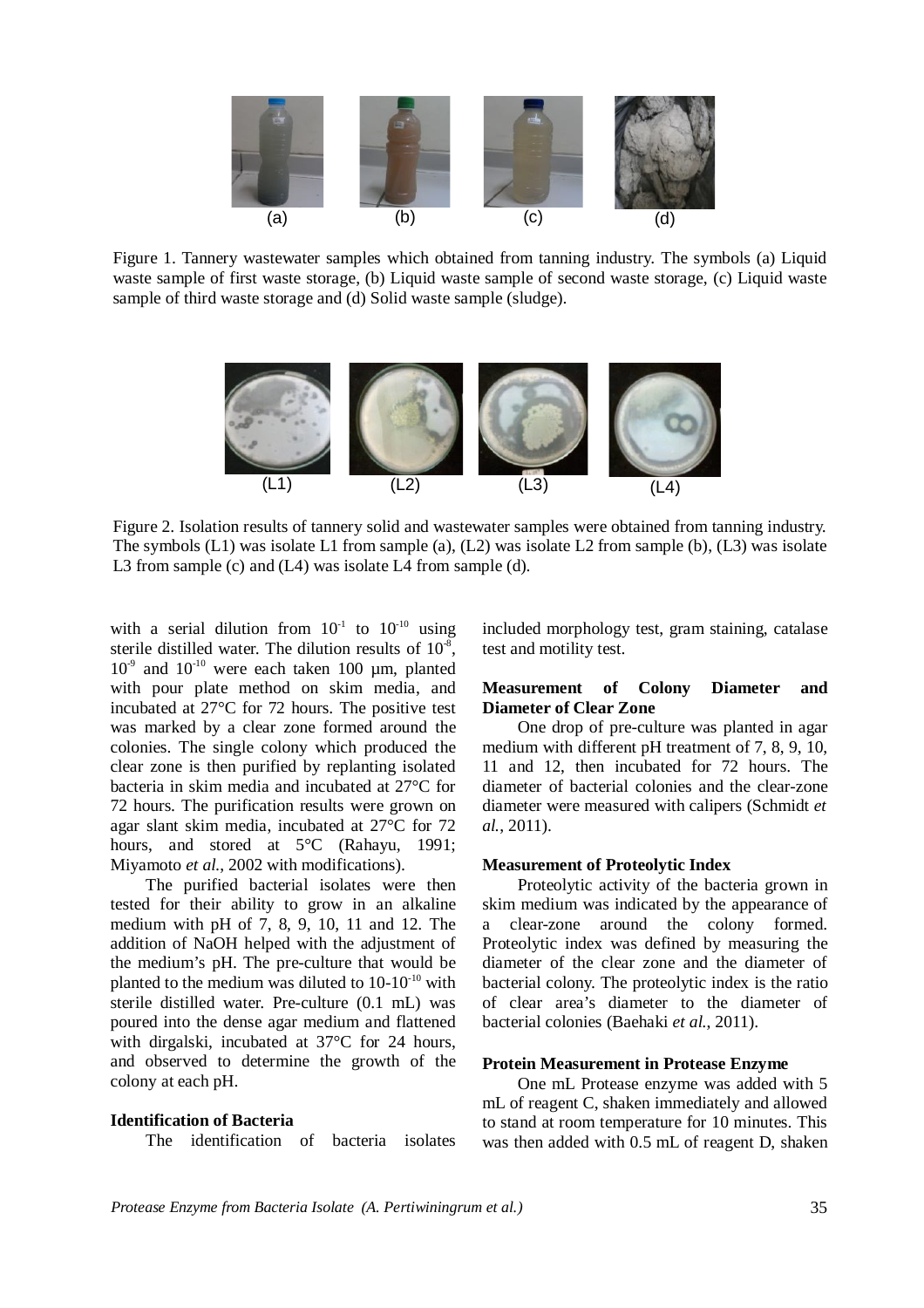

Figure 1. Tannery wastewater samples which obtained from tanning industry. The symbols (a) Liquid waste sample of first waste storage, (b) Liquid waste sample of second waste storage, (c) Liquid waste sample of third waste storage and (d) Solid waste sample (sludge).



Figure 2. Isolation results of tannery solid and wastewater samples were obtained from tanning industry. The symbols (L1) was isolate L1 from sample (a), (L2) was isolate L2 from sample (b), (L3) was isolate L3 from sample (c) and (L4) was isolate L4 from sample (d).

with a serial dilution from  $10^{-1}$  to  $10^{-10}$  using sterile distilled water. The dilution results of  $10^3$ ,  $10^{-9}$  and  $10^{-10}$  were each taken 100 µm, planted with pour plate method on skim media, and incubated at 27°C for 72 hours. The positive test was marked by a clear zone formed around the colonies. The single colony which produced the clear zone is then purified by replanting isolated bacteria in skim media and incubated at 27°C for 72 hours. The purification results were grown on agar slant skim media, incubated at 27°C for 72 hours, and stored at 5°C (Rahayu, 1991; Miyamoto *et al.*, 2002 with modifications).

The purified bacterial isolates were then tested for their ability to grow in an alkaline medium with pH of 7, 8, 9, 10, 11 and 12. The addition of NaOH helped with the adjustment of the medium's pH. The pre-culture that would be planted to the medium was diluted to  $10-10^{-10}$  with sterile distilled water. Pre-culture (0.1 mL) was poured into the dense agar medium and flattened with dirgalski, incubated at 37°C for 24 hours, and observed to determine the growth of the colony at each pH.

#### **Identification of Bacteria**

The identification of bacteria isolates

included morphology test, gram staining, catalase test and motility test.

# **Measurement of Colony Diameter and Diameter of Clear Zone**

One drop of pre-culture was planted in agar medium with different pH treatment of 7, 8, 9, 10, 11 and 12, then incubated for 72 hours. The diameter of bacterial colonies and the clear-zone diameter were measured with calipers (Schmidt *et al.*, 2011).

### **Measurement of Proteolytic Index**

Proteolytic activity of the bacteria grown in skim medium was indicated by the appearance of a clear-zone around the colony formed. Proteolytic index was defined by measuring the diameter of the clear zone and the diameter of bacterial colony. The proteolytic index is the ratio of clear area's diameter to the diameter of bacterial colonies (Baehaki *et al.*, 2011).

### **Protein Measurement in Protease Enzyme**

One mL Protease enzyme was added with 5 mL of reagent C, shaken immediately and allowed to stand at room temperature for 10 minutes. This was then added with 0.5 mL of reagent D, shaken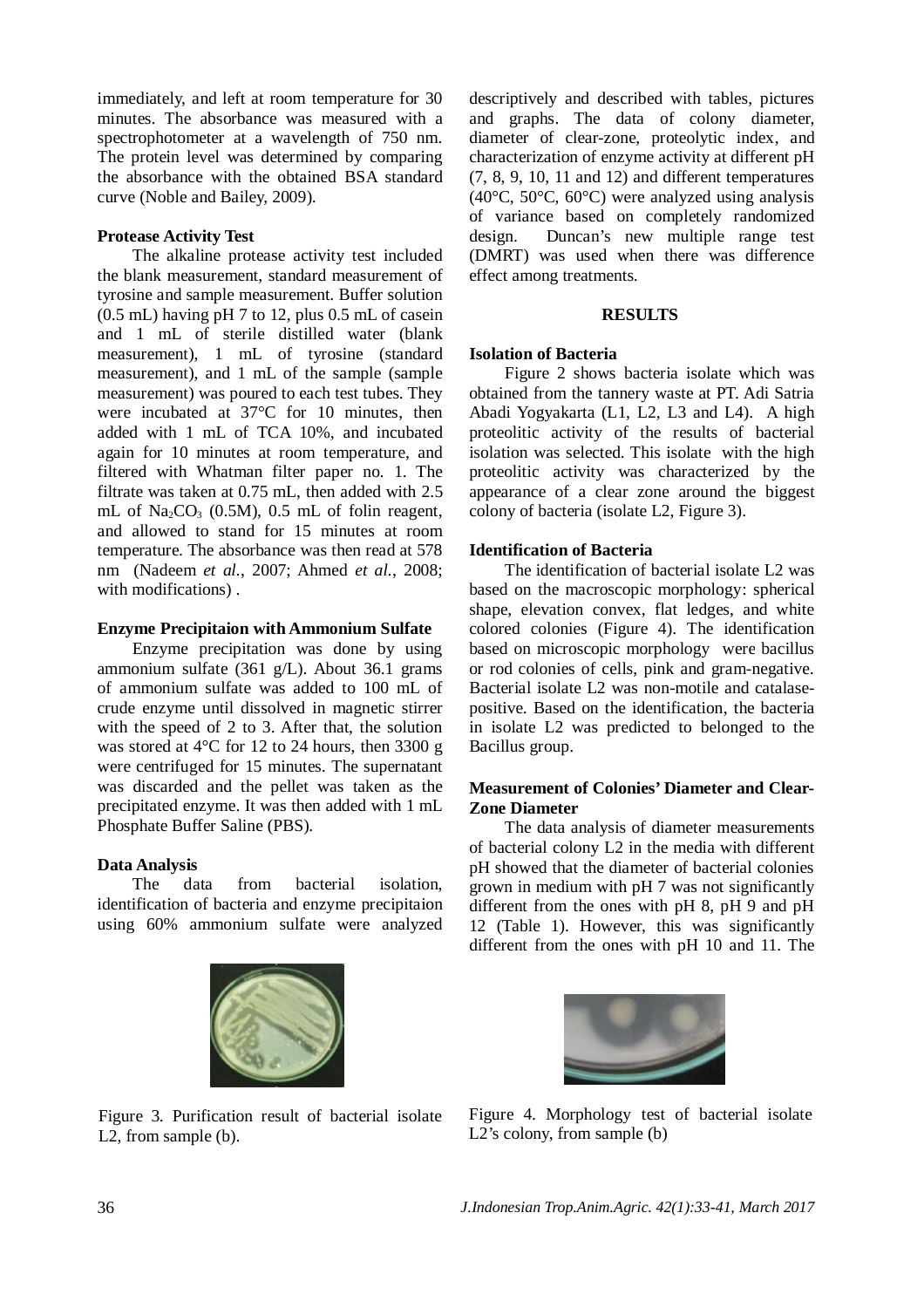immediately, and left at room temperature for 30 minutes. The absorbance was measured with a spectrophotometer at a wavelength of 750 nm. The protein level was determined by comparing the absorbance with the obtained BSA standard curve (Noble and Bailey, 2009).

# **Protease Activity Test**

The alkaline protease activity test included the blank measurement, standard measurement of tyrosine and sample measurement. Buffer solution (0.5 mL) having pH 7 to 12, plus 0.5 mL of casein and 1 mL of sterile distilled water (blank measurement), 1 mL of tyrosine (standard measurement), and 1 mL of the sample (sample measurement) was poured to each test tubes. They were incubated at 37°C for 10 minutes, then added with 1 mL of TCA 10%, and incubated again for 10 minutes at room temperature, and filtered with Whatman filter paper no. 1. The filtrate was taken at 0.75 mL, then added with 2.5 mL of Na<sub>2</sub>CO<sub>3</sub> (0.5M), 0.5 mL of folin reagent, and allowed to stand for 15 minutes at room temperature. The absorbance was then read at 578 nm (Nadeem *et al.*, 2007; Ahmed *et al.*, 2008; with modifications) .

# **Enzyme Precipitaion with Ammonium Sulfate**

Enzyme precipitation was done by using ammonium sulfate (361 g/L). About 36.1 grams of ammonium sulfate was added to 100 mL of crude enzyme until dissolved in magnetic stirrer with the speed of 2 to 3. After that, the solution was stored at 4°C for 12 to 24 hours, then 3300 g were centrifuged for 15 minutes. The supernatant was discarded and the pellet was taken as the precipitated enzyme. It was then added with 1 mL Phosphate Buffer Saline (PBS).

# **Data Analysis**

The data from bacterial isolation, identification of bacteria and enzyme precipitaion using 60% ammonium sulfate were analyzed



Figure 3. Purification result of bacterial isolate L2, from sample (b).

descriptively and described with tables, pictures and graphs. The data of colony diameter, diameter of clear-zone, proteolytic index, and characterization of enzyme activity at different pH (7, 8, 9, 10, 11 and 12) and different temperatures (40°C, 50°C, 60°C) were analyzed using analysis of variance based on completely randomized design. Duncan's new multiple range test (DMRT) was used when there was difference effect among treatments.

## **RESULTS**

# **Isolation of Bacteria**

Figure 2 shows bacteria isolate which was obtained from the tannery waste at PT. Adi Satria Abadi Yogyakarta (L1, L2, L3 and L4). A high proteolitic activity of the results of bacterial isolation was selected. This isolate with the high proteolitic activity was characterized by the appearance of a clear zone around the biggest colony of bacteria (isolate L2, Figure 3).

# **Identification of Bacteria**

The identification of bacterial isolate L2 was based on the macroscopic morphology: spherical shape, elevation convex, flat ledges, and white colored colonies (Figure 4). The identification based on microscopic morphology were bacillus or rod colonies of cells, pink and gram-negative. Bacterial isolate L2 was non-motile and catalasepositive. Based on the identification, the bacteria in isolate L2 was predicted to belonged to the Bacillus group.

# **Measurement of Colonies' Diameter and Clear-Zone Diameter**

The data analysis of diameter measurements of bacterial colony L2 in the media with different pH showed that the diameter of bacterial colonies grown in medium with pH 7 was not significantly different from the ones with pH 8, pH 9 and pH 12 (Table 1). However, this was significantly different from the ones with pH 10 and 11. The



Figure 4. Morphology test of bacterial isolate L2's colony, from sample (b)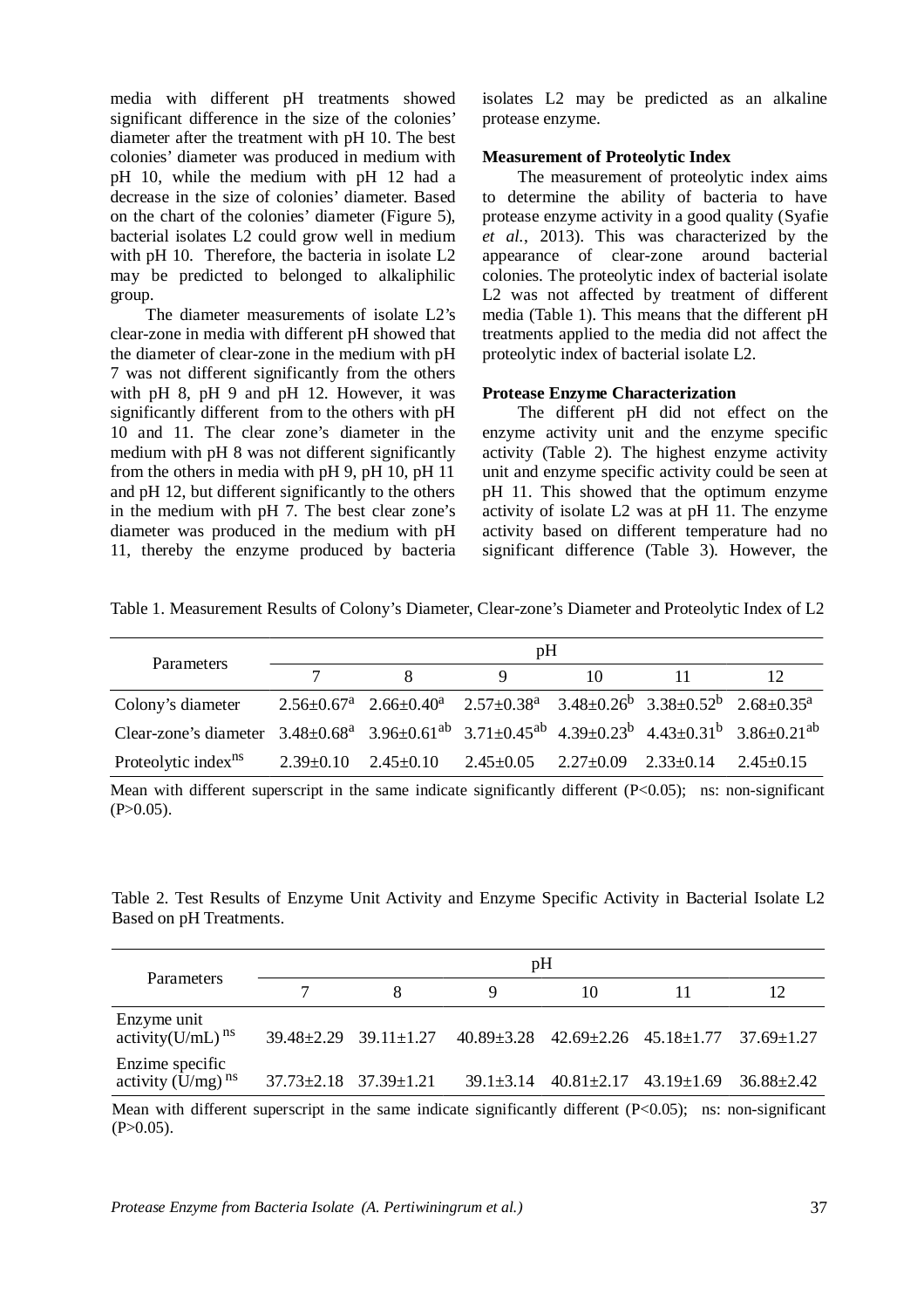media with different pH treatments showed significant difference in the size of the colonies' diameter after the treatment with pH 10. The best colonies' diameter was produced in medium with pH 10, while the medium with pH 12 had a decrease in the size of colonies' diameter. Based on the chart of the colonies' diameter (Figure 5), bacterial isolates L2 could grow well in medium with pH 10. Therefore, the bacteria in isolate L2 may be predicted to belonged to alkaliphilic group.

The diameter measurements of isolate L2's clear-zone in media with different pH showed that the diameter of clear-zone in the medium with pH 7 was not different significantly from the others with pH 8, pH 9 and pH 12. However, it was significantly different from to the others with pH 10 and 11. The clear zone's diameter in the medium with pH 8 was not different significantly from the others in media with pH 9, pH 10, pH 11 and pH 12, but different significantly to the others in the medium with pH 7. The best clear zone's diameter was produced in the medium with pH 11, thereby the enzyme produced by bacteria isolates L2 may be predicted as an alkaline protease enzyme.

### **Measurement of Proteolytic Index**

The measurement of proteolytic index aims to determine the ability of bacteria to have protease enzyme activity in a good quality (Syafie *et al.*, 2013). This was characterized by the appearance of clear-zone around bacterial colonies. The proteolytic index of bacterial isolate L2 was not affected by treatment of different media (Table 1). This means that the different pH treatments applied to the media did not affect the proteolytic index of bacterial isolate L2.

### **Protease Enzyme Characterization**

The different pH did not effect on the enzyme activity unit and the enzyme specific activity (Table 2). The highest enzyme activity unit and enzyme specific activity could be seen at pH 11. This showed that the optimum enzyme activity of isolate L2 was at pH 11. The enzyme activity based on different temperature had no significant difference (Table 3). However, the

Table 1. Measurement Results of Colony's Diameter, Clear-zone's Diameter and Proteolytic Index of L2

| Parameters                                                                                                                     | pΗ |                                                                                                 |                                                         |    |  |     |  |
|--------------------------------------------------------------------------------------------------------------------------------|----|-------------------------------------------------------------------------------------------------|---------------------------------------------------------|----|--|-----|--|
|                                                                                                                                |    | x                                                                                               | Q                                                       | 10 |  | 12. |  |
| Colony's diameter                                                                                                              |    | $2.56\pm0.67^a$ $2.66\pm0.40^a$ $2.57\pm0.38^a$ $3.48\pm0.26^b$ $3.38\pm0.52^b$ $2.68\pm0.35^a$ |                                                         |    |  |     |  |
| Clear-zone's diameter $3.48\pm0.68^a$ $3.96\pm0.61^{ab}$ $3.71\pm0.45^{ab}$ $4.39\pm0.23^b$ $4.43\pm0.31^b$ $3.86\pm0.21^{ab}$ |    |                                                                                                 |                                                         |    |  |     |  |
| Proteolytic index <sup>ns</sup> $2.39\pm0.10$ $2.45\pm0.10$                                                                    |    |                                                                                                 | $2.45\pm0.05$ $2.27\pm0.09$ $2.33\pm0.14$ $2.45\pm0.15$ |    |  |     |  |

Mean with different superscript in the same indicate significantly different  $(P<0.05)$ ; ns: non-significant  $(P>0.05)$ .

Table 2. Test Results of Enzyme Unit Activity and Enzyme Specific Activity in Bacterial Isolate L2 Based on pH Treatments.

| Parameters                                  | pH                                |                                   |  |    |                                                                     |    |  |
|---------------------------------------------|-----------------------------------|-----------------------------------|--|----|---------------------------------------------------------------------|----|--|
|                                             |                                   |                                   |  | 10 |                                                                     | 12 |  |
| Enzyme unit<br>activity(U/mL) <sup>ns</sup> |                                   | $39.48 \pm 2.29$ $39.11 \pm 1.27$ |  |    | $40.89 \pm 3.28$ $42.69 \pm 2.26$ $45.18 \pm 1.77$ $37.69 \pm 1.27$ |    |  |
| Enzime specific<br>activity $(U/mg)^{ns}$   | $37.73 \pm 2.18$ $37.39 \pm 1.21$ |                                   |  |    | $39.1\pm3.14$ $40.81\pm2.17$ $43.19\pm1.69$ $36.88\pm2.42$          |    |  |
|                                             |                                   |                                   |  |    |                                                                     |    |  |

Mean with different superscript in the same indicate significantly different (P<0.05); ns: non-significant  $(P>0.05)$ .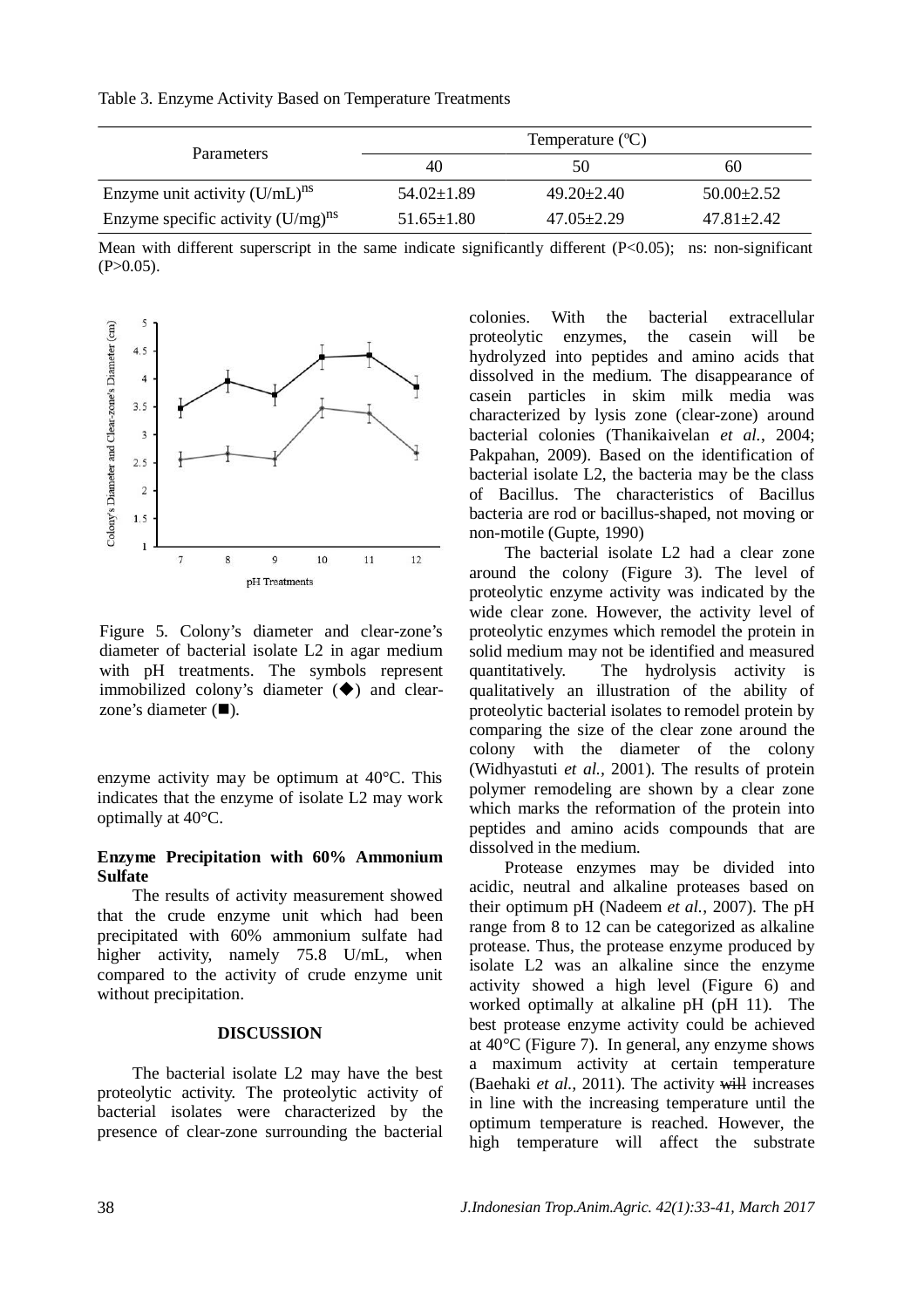|                                        | Temperature $(C)$ |                  |                  |  |  |  |
|----------------------------------------|-------------------|------------------|------------------|--|--|--|
| <b>Parameters</b>                      | 40                | 50               | 60               |  |  |  |
| Enzyme unit activity $(U/mL)^{ns}$     | $54.02 \pm 1.89$  | $49.20 \pm 2.40$ | $50.00 \pm 2.52$ |  |  |  |
| Enzyme specific activity $(U/mg)^{ns}$ | $51.65 \pm 1.80$  | $47.05 \pm 2.29$ | $47.81 \pm 2.42$ |  |  |  |

Table 3. Enzyme Activity Based on Temperature Treatments

Mean with different superscript in the same indicate significantly different (P<0.05); ns: non-significant  $(P>0.05)$ .



Figure 5. Colony's diameter and clear-zone's diameter of bacterial isolate L2 in agar medium with pH treatments. The symbols represent immobilized colony's diameter  $(\blacklozenge)$  and clearzone's diameter  $(\blacksquare)$ .

enzyme activity may be optimum at 40°C. This indicates that the enzyme of isolate L2 may work optimally at 40°C.

### **Enzyme Precipitation with 60% Ammonium Sulfate**

The results of activity measurement showed that the crude enzyme unit which had been precipitated with 60% ammonium sulfate had higher activity, namely 75.8 U/mL, when compared to the activity of crude enzyme unit without precipitation.

### **DISCUSSION**

The bacterial isolate L2 may have the best proteolytic activity. The proteolytic activity of bacterial isolates were characterized by the presence of clear-zone surrounding the bacterial

colonies. With the bacterial extracellular proteolytic enzymes, the casein will be hydrolyzed into peptides and amino acids that dissolved in the medium. The disappearance of casein particles in skim milk media was characterized by lysis zone (clear-zone) around bacterial colonies (Thanikaivelan *et al.*, 2004; Pakpahan, 2009). Based on the identification of bacterial isolate L2, the bacteria may be the class of Bacillus. The characteristics of Bacillus bacteria are rod or bacillus-shaped, not moving or non-motile (Gupte, 1990)

The bacterial isolate L2 had a clear zone around the colony (Figure 3). The level of proteolytic enzyme activity was indicated by the wide clear zone. However, the activity level of proteolytic enzymes which remodel the protein in solid medium may not be identified and measured quantitatively. The hydrolysis activity is qualitatively an illustration of the ability of proteolytic bacterial isolates to remodel protein by comparing the size of the clear zone around the colony with the diameter of the colony (Widhyastuti *et al.,* 2001). The results of protein polymer remodeling are shown by a clear zone which marks the reformation of the protein into peptides and amino acids compounds that are dissolved in the medium.

Protease enzymes may be divided into acidic, neutral and alkaline proteases based on their optimum pH (Nadeem *et al.*, 2007). The pH range from 8 to 12 can be categorized as alkaline protease. Thus, the protease enzyme produced by isolate L2 was an alkaline since the enzyme activity showed a high level (Figure 6) and worked optimally at alkaline pH (pH 11). The best protease enzyme activity could be achieved at  $40^{\circ}$ C (Figure 7). In general, any enzyme shows a maximum activity at certain temperature (Baehaki *et al.,* 2011). The activity will increases in line with the increasing temperature until the optimum temperature is reached. However, the high temperature will affect the substrate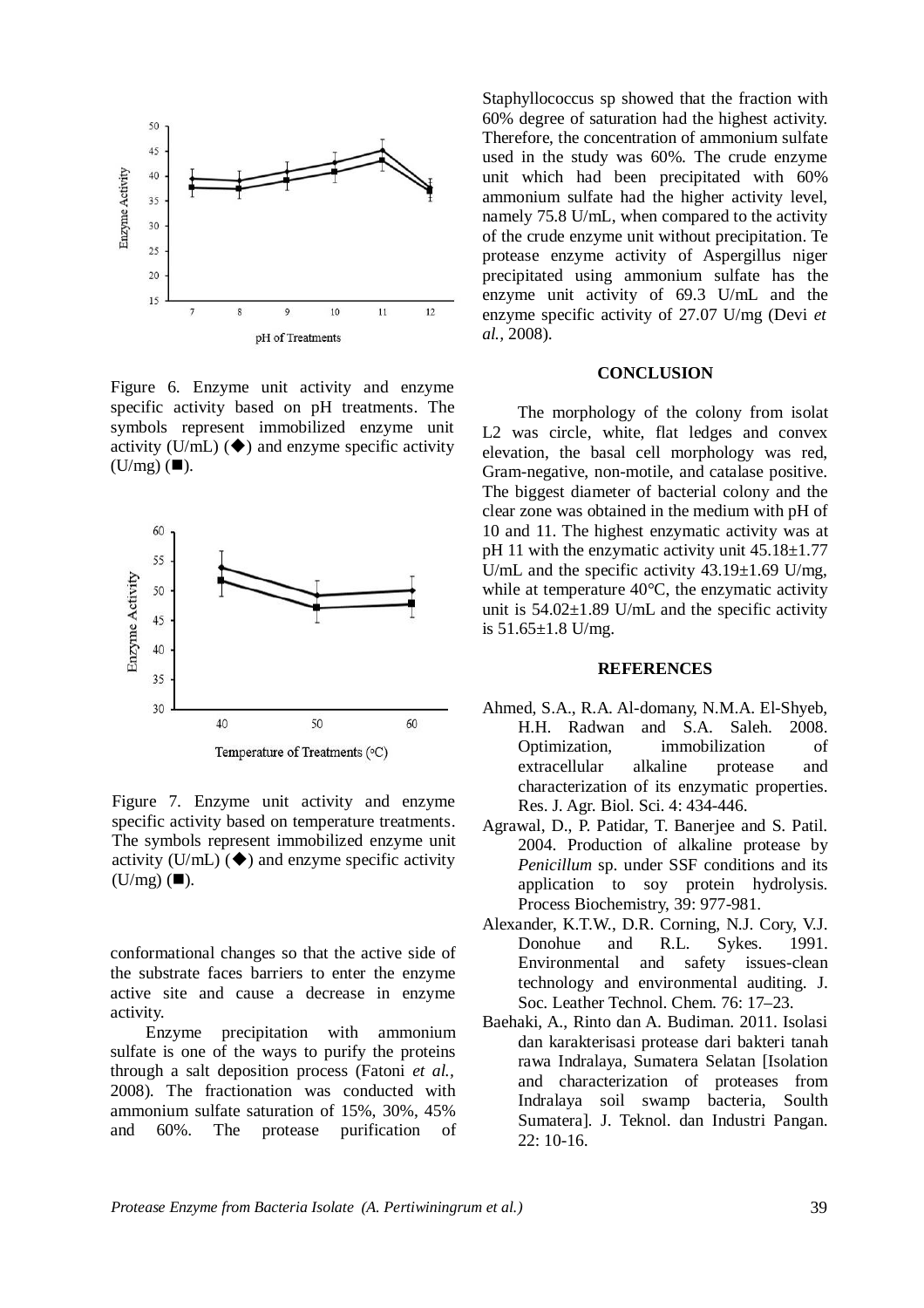

Figure 6. Enzyme unit activity and enzyme specific activity based on pH treatments. The symbols represent immobilized enzyme unit activity (U/mL)  $(\blacklozenge)$  and enzyme specific activity  $(U/mg)$  ( $\square$ ).



Figure 7. Enzyme unit activity and enzyme specific activity based on temperature treatments. The symbols represent immobilized enzyme unit activity (U/mL)  $(\blacklozenge)$  and enzyme specific activity  $(U/mg)$  ( $\square$ ).

conformational changes so that the active side of the substrate faces barriers to enter the enzyme active site and cause a decrease in enzyme activity.

Enzyme precipitation with ammonium sulfate is one of the ways to purify the proteins through a salt deposition process (Fatoni *et al.,* 2008). The fractionation was conducted with ammonium sulfate saturation of 15%, 30%, 45% and 60%. The protease purification of

Staphyllococcus sp showed that the fraction with 60% degree of saturation had the highest activity. Therefore, the concentration of ammonium sulfate used in the study was 60%. The crude enzyme unit which had been precipitated with 60% ammonium sulfate had the higher activity level, namely 75.8 U/mL, when compared to the activity of the crude enzyme unit without precipitation. Te protease enzyme activity of Aspergillus niger precipitated using ammonium sulfate has the enzyme unit activity of 69.3 U/mL and the enzyme specific activity of 27.07 U/mg (Devi *et al.,* 2008).

### **CONCLUSION**

The morphology of the colony from isolat L2 was circle, white, flat ledges and convex elevation, the basal cell morphology was red, Gram-negative, non-motile, and catalase positive. The biggest diameter of bacterial colony and the clear zone was obtained in the medium with pH of 10 and 11. The highest enzymatic activity was at pH 11 with the enzymatic activity unit  $45.18 \pm 1.77$ U/mL and the specific activity  $43.19 \pm 1.69$  U/mg, while at temperature 40°C, the enzymatic activity unit is  $54.02 \pm 1.89$  U/mL and the specific activity is  $51.65 \pm 1.8$  U/mg.

### **REFERENCES**

- Ahmed, S.A., R.A. Al-domany, N.M.A. El-Shyeb, H.H. Radwan and S.A. Saleh. 2008. Optimization, immobilization of extracellular alkaline protease and characterization of its enzymatic properties. Res. J. Agr. Biol. Sci. 4: 434-446.
- Agrawal, D., P. Patidar, T. Banerjee and S. Patil. 2004. Production of alkaline protease by *Penicillum* sp. under SSF conditions and its application to soy protein hydrolysis. Process Biochemistry, 39: 977-981.
- Alexander, K.T.W., D.R. Corning, N.J. Cory, V.J. Donohue and R.L. Sykes. 1991. Environmental and safety issues-clean technology and environmental auditing. J. Soc. Leather Technol. Chem. 76: 17–23.
- Baehaki, A., Rinto dan A. Budiman. 2011. Isolasi dan karakterisasi protease dari bakteri tanah rawa Indralaya, Sumatera Selatan [Isolation and characterization of proteases from Indralaya soil swamp bacteria, Soulth Sumatera]. J. Teknol. dan Industri Pangan. 22: 10-16.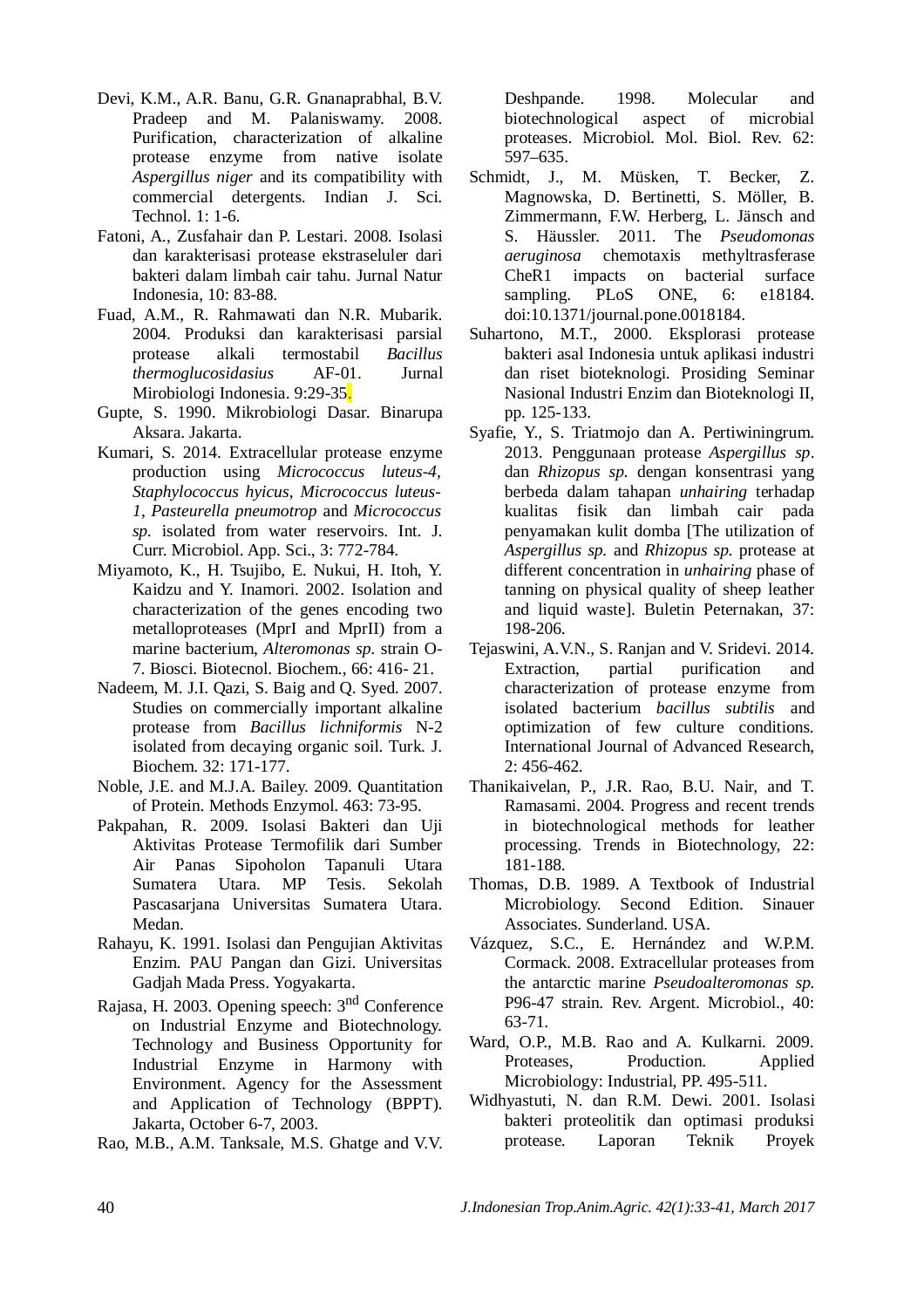- Devi, K.M., A.R. Banu, G.R. Gnanaprabhal, B.V. Pradeep and M. Palaniswamy. 2008. Purification, characterization of alkaline protease enzyme from native isolate *Aspergillus niger* and its compatibility with commercial detergents. Indian J. Sci. Technol. 1: 1-6.
- Fatoni, A., Zusfahair dan P. Lestari. 2008. Isolasi dan karakterisasi protease ekstraseluler dari bakteri dalam limbah cair tahu. Jurnal Natur Indonesia, 10: 83-88.
- Fuad, A.M., R. Rahmawati dan N.R. Mubarik. 2004. Produksi dan karakterisasi parsial protease alkali termostabil *Bacillus thermoglucosidasius* AF-01. Jurnal Mirobiologi Indonesia. 9:29-35.
- Gupte, S. 1990. Mikrobiologi Dasar. Binarupa Aksara. Jakarta.
- Kumari, S. 2014. Extracellular protease enzyme production using *Micrococcus luteus-4, Staphylococcus hyicus*, *Micrococcus luteus-1*, *Pasteurella pneumotrop* and *Micrococcus sp.* isolated from water reservoirs. Int. J. Curr. Microbiol. App. Sci., 3: 772-784.
- Miyamoto, K., H. Tsujibo, E. Nukui, H. Itoh, Y. Kaidzu and Y. Inamori. 2002. Isolation and characterization of the genes encoding two metalloproteases (MprI and MprII) from a marine bacterium, *Alteromonas sp.* strain O-7. Biosci. Biotecnol. Biochem., 66: 416- 21.
- Nadeem, M. J.I. Qazi, S. Baig and Q. Syed. 2007. Studies on commercially important alkaline protease from *Bacillus lichniformis* N-2 isolated from decaying organic soil. Turk. J. Biochem. 32: 171-177.
- Noble, J.E. and M.J.A. Bailey. 2009. Quantitation of Protein. Methods Enzymol. 463: 73-95.
- Pakpahan, R. 2009. Isolasi Bakteri dan Uji Aktivitas Protease Termofilik dari Sumber Air Panas Sipoholon Tapanuli Utara Sumatera Utara. MP Tesis. Sekolah Pascasarjana Universitas Sumatera Utara. Medan.
- Rahayu, K. 1991. Isolasi dan Pengujian Aktivitas Enzim. PAU Pangan dan Gizi. Universitas Gadjah Mada Press. Yogyakarta.
- Rajasa, H. 2003. Opening speech: 3nd Conference on Industrial Enzyme and Biotechnology. Technology and Business Opportunity for Industrial Enzyme in Harmony with Environment. Agency for the Assessment and Application of Technology (BPPT). Jakarta, October 6-7, 2003.
- Rao, M.B., A.M. Tanksale, M.S. Ghatge and V.V.

Deshpande. 1998. Molecular and biotechnological aspect of microbial proteases. Microbiol. Mol. Biol. Rev. 62: 597–635.

- Schmidt, J., M. Müsken, T. Becker, Z. Magnowska, D. Bertinetti, S. Möller, B. Zimmermann, F.W. Herberg, L. Jänsch and S. Häussler. 2011. The *Pseudomonas aeruginosa* chemotaxis methyltrasferase CheR1 impacts on bacterial surface sampling. PLoS ONE, 6: e18184. doi:10.1371/journal.pone.0018184.
- Suhartono, M.T., 2000. Eksplorasi protease bakteri asal Indonesia untuk aplikasi industri dan riset bioteknologi. Prosiding Seminar Nasional Industri Enzim dan Bioteknologi II, pp. 125-133.
- Syafie, Y., S. Triatmojo dan A. Pertiwiningrum. 2013. Penggunaan protease *Aspergillus sp*. dan *Rhizopus sp.* dengan konsentrasi yang berbeda dalam tahapan *unhairing* terhadap kualitas fisik dan limbah cair pada penyamakan kulit domba [The utilization of *Aspergillus sp.* and *Rhizopus sp.* protease at different concentration in *unhairing* phase of tanning on physical quality of sheep leather and liquid waste]. Buletin Peternakan, 37: 198-206.
- Tejaswini, A.V.N., S. Ranjan and V. Sridevi. 2014. Extraction, partial purification and characterization of protease enzyme from isolated bacterium *bacillus subtilis* and optimization of few culture conditions. International Journal of Advanced Research, 2: 456-462.
- Thanikaivelan, P., J.R. Rao, B.U. Nair, and T. Ramasami. 2004. Progress and recent trends in biotechnological methods for leather processing. Trends in Biotechnology, 22: 181-188.
- Thomas, D.B. 1989. A Textbook of Industrial Microbiology. Second Edition. Sinauer Associates. Sunderland. USA.
- Vázquez, S.C., E. Hernández and W.P.M. Cormack. 2008. Extracellular proteases from the antarctic marine *Pseudoalteromonas sp.* P96-47 strain. Rev. Argent. Microbiol., 40: 63-71.
- Ward, O.P., M.B. Rao and A. Kulkarni. 2009. Proteases, Production. Applied Microbiology: Industrial, PP. 495-511.
- Widhyastuti, N. dan R.M. Dewi. 2001. Isolasi bakteri proteolitik dan optimasi produksi protease. Laporan Teknik Proyek